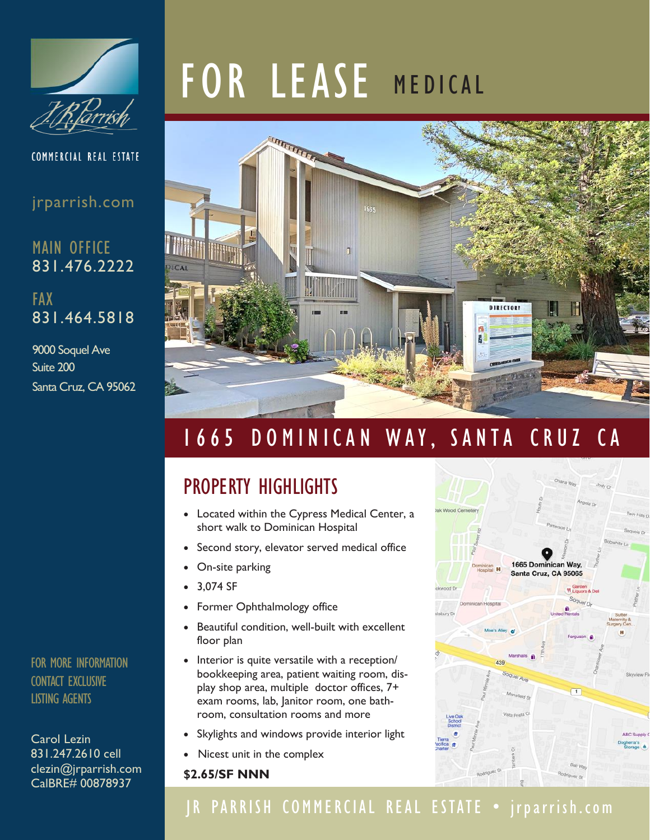

COMMERCIAL REAL ESTATE

#### jrparrish.com

MAIN OFFICE 831.476.2222

FAX 831.464.5818

9000 Soquel Ave Suite 200 Santa Cruz, CA 95062

FOR MORE INFORMATION CONTACT EXCLUSIVE LISTING AGENTS

Carol Lezin 831.247.2610 cell clezin@jrparrish.com CalBRE# 00878937

# FOR LEASE MEDICAL



# 1665 DOMINICAN WAY, SANTA CRUZ CA

## PROPERTY HIGHLIGHTS

- Located within the Cypress Medical Center, a short walk to Dominican Hospital
- Second story, elevator served medical office
- On-site parking
- 3,074 SF
- Former Ophthalmology office
- Beautiful condition, well-built with excellent floor plan
- Interior is quite versatile with a reception/ bookkeeping area, patient waiting room, display shop area, multiple doctor offices, 7+ exam rooms, lab, Janitor room, one bathroom, consultation rooms and more
- Skylights and windows provide interior light
- Nicest unit in the complex

#### **\$2.65/SF NNN**



## JR PARRISH COMMERCIAL REAL ESTATE • jrparrish.com